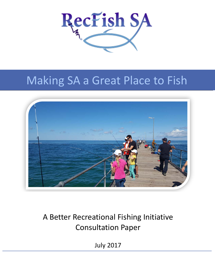

# Making SA a Great Place to Fish



## A Better Recreational Fishing Initiative Consultation Paper

July 2017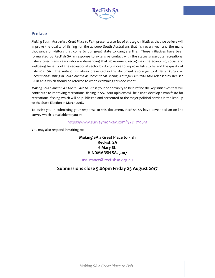

## <span id="page-1-0"></span>**Preface**

*Making South Australia a Great Place to Fish*; presents a series of strategic initiatives that we believe will improve the quality of fishing for the 277,000 South Australians that fish every year and the many thousands of visitors that come to our great state to dangle a line. These initiatives have been formulated by RecFish SA in response to extensive contact with the states grassroots recreational fishers over many years who are demanding that government recognises the economic, social and wellbeing benefits of the recreational sector by doing more to improve fish stocks and the quality of fishing in SA. The suite of initiatives presented in this document also align to *A Better Future or Recreational Fishing in South Australia; Recreational Fishing Strategic Plan 2014-2018* released by RecFish SA in 2014 which should be referred to when examining this document.

*Making South Australia a Great Place to Fish* is your opportunity to help refine the key initiatives that will contribute to improving recreational fishing in SA. Your opinions will help us to develop a manifesto for recreational fishing which will be publicized and presented to the major political parties in the lead up to the State Election in March 2018.

To assist you in submitting your response to this document, RecFish SA have developed an on-line survey which is available to you at

## <https://www.surveymonkey.com/r/YDRY9SM>

You may also respond in writing to;

**Making SA a Great Place to Fish RecFish SA 6 Mary St. HINDMARSH SA, 5007**

[assistance@recfishsa.org.au](mailto:assistance@recfishsa.org.au)

## **Submissions close 5.00pm Friday 25 August 2017**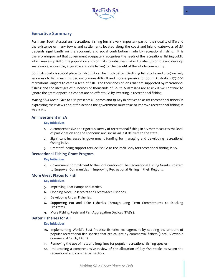

## <span id="page-2-0"></span>**Executive Summary**

For many South Australians recreational fishing forms a very important part of their quality of life and the existence of many towns and settlements located along the coast and inland waterways of SA depends significantly on the economic and social contribution made by recreational fishing. It is therefore important that government adequately recognises the needs of the recreational fishing public which makes up 16% of the population and commits to initiatives that will protect, promote and develop sustainable, accessible, enjoyable and safe fishing for the benefit of the whole community.

South Australia is a good place to fish but it can be much better. Declining fish stocks and progressively less areas to fish mean it is becoming more difficult and more expensive for South Australia's 277,000 recreational anglers to catch a feed of fish. The thousands of jobs that are supported by recreational fishing and the lifestyles of hundreds of thousands of South Australians are at risk if we continue to ignore the great opportunities that are on offer to SA by investing in recreational fishing.

*Making SA a Great Place to Fish* presents 6 Themes and 19 Key initiatives to assist recreational fishers in expressing their views about the actions the government must take to improve recreational fishing in this state.

## **An Investment in SA**

#### **Key Initiatives**

- 1. A comprehensive and rigorous survey of recreational fishing in SA that measures the level of participation and the economic and social value it delivers to the state.
- 2. Significant increases in government funding for managing and developing recreational fishing in SA.
- 3. Greater funding support for RecFish SA as the Peak Body for recreational fishing in SA.

#### **Recreational Fishing Grant Program**

#### **Key Initiatives**

4. Government Commitment to the Continuation of The Recreational Fishing Grants Program to Empower Communities in Improving Recreational Fishing in their Regions.

#### **More Great Places to Fish**

#### **Key Initiatives**

- 5. Improving Boat Ramps and Jetties.
- 6. Opening More Reservoirs and Freshwater Fisheries.
- 7. Developing Urban Fisheries.
- 8. Supporting Put and Take Fisheries Through Long Term Commitments to Stocking Programs.
- 9. More Fishing Reefs and Fish Aggregation Devices (FADs).

## **Better Fisheries for All**

#### **Key Initiatives**

- 10. Implementing World's Best Practice fisheries management by capping the amount of popular recreational fish species that are caught by commercial fishers (Total Allowable Commercial Catch; TACC).
- 11. Removing the use of nets and long lines for popular recreational fishing species.
- 12. Undertaking a comprehensive review of the allocation of key fish stocks between the recreational and commercial sectors.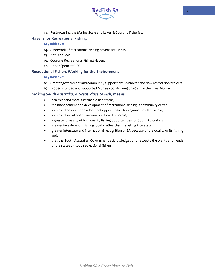

13. Restructuring the Marine Scale and Lakes & Coorong Fisheries.

## **Havens for Recreational Fishing**

#### **Key Initiatives**

- 14. A network of recreational fishing havens across SA.
- 15. Net Free GSV.
- 16. Coorong Recreational Fishing Haven.
- 17. Upper Spencer Gulf

## **Recreational Fishers Working for the Environment**

#### **Key Initiatives**

- 18. Greater government and community support for fish habitat and flow restoration projects.
- 19. Properly funded and supported Murray cod stocking program in the River Murray.

## *Making South Australia, A Great Place to Fish,* **means**

- healthier and more sustainable fish stocks,
- the management and development of recreational fishing is community driven,
- increased economic development opportunities for regional small business,
- increased social and environmental benefits for SA,
- a greater diversity of high quality fishing opportunities for South Australians,
- greater investment in fishing locally rather than travelling interstate,
- greater interstate and international recognition of SA because of the quality of its fishing and,
- that the South Australian Government acknowledges and respects the wants and needs of the states 277,000 recreational fishers.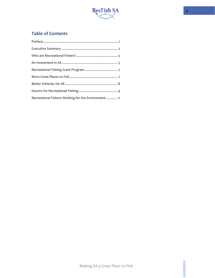

## **Table of Contents**

| Recreational Fishers Working for the Environment 11 |  |
|-----------------------------------------------------|--|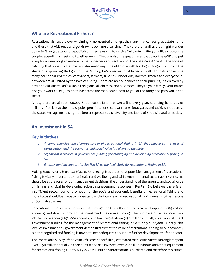

## <span id="page-5-0"></span>**Who are Recreational Fishers?**

Recreational fishers are overwhelmingly represented amongst the many that call our great state home and those that visit once and get drawn back time after time. They are the families that might wander down to Grange Jetty on a beautiful summers evening to catch a Yellowfin whiting or a Blue crab or the couples spending a weekend together on KI. They are also the great mates that pack the 4WD and get away for a week-long adventure to the wilderness and seclusion of the states West Coast in the hope of catching that once in a lifetime monster mulloway. The old bloke with his dog, sitting in his tinny in the shade of a sprawling Red gum on the Murray, he's a recreational fisher as well. Tourists aboard the many houseboats; yatchies, caravaners, farmers, truckies, school kids, doctors, tradies and everyone inbetween are all united by the love of fishing. There are no boundaries to their pursuits, it's enjoyed by new and old Australian's alike, all religions, all abilities, and all classes! They're your family, your mates and your work colleagues; they live across the road, stand next to you at the footy and pass you in the street.

All up, there are almost 300,000 South Australians that wet a line every year, spending hundreds of millions of dollars at the hotels, pubs, petrol stations, caravan parks, boat yards and tackle shops across the state. Perhaps no other group better represents the diversity and fabric of South Australian society.

## <span id="page-5-1"></span>**An Investment in SA**

## **Key Initiatives**

- *1. A comprehensive and rigorous survey of recreational fishing in SA that measures the level of participation and the economic and social value it delivers to the state.*
- *2. Significant increases in government funding for managing and developing recreational fishing in SA.*
- *3. Greater funding support for RecFish SA as the Peak Body for recreational fishing in SA.*

*Making South Australia a Great Place to Fish*, recognises that the responsible management of recreational fishing is vitally important to our health and wellbeing and while environmental sustainability concerns should be at the forefront of management decisions, the understanding of the amenity and social value of fishing is critical in developing robust management responses. RecFish SA believes there is an insufficient recognition or promotion of the social and economic benefits of recreational fishing and more focus should be made to understand and articulate what recreational fishing means to the lifestyle of South Australians.

Recreational fishers invest heavily in SA through the taxes they pay on gear and supplies (>\$35 million annually) and directly through the investment they make through the purchase of recreational rock lobster pot licences (\$792, 000 annually) and boat registrations (\$3.2 million annually). Yet, annual direct government funding for the management of recreational fishing in SA is only \$800,000. Clearly, this level of investment by government demonstrates that the value of recreational fishing to our economy is not recognised and funding is nowhere near adequate to support further development of the sector.

The last reliable survey of the value of recreational fishing estimated that South Australian anglers spent over \$350 million annually in their pursuit and had invested over \$1.2 billion in boats and other equipment for recreational fishing (Henry & Lyle, 2001). But this information is outdated and therefore it is critical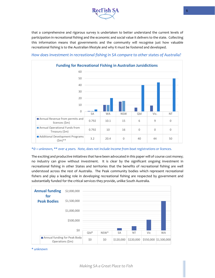

that a comprehensive and rigorous survey is undertaken to better understand the current levels of participation in recreational fishing and the economic and social value it delivers to the state. Collecting this information means that governments and the community will recognise just how valuable recreational fishing is to the Australian lifestyle and why it must be fostered and developed.



## *How does investment in recreational fishing in SA compare to other states of Australia?*

#### *\*0 = unknown, \*\* over 4 years. Note, does not include income from boat registrations or licences.*

The exciting and productive initiatives that have been advocated in this paper will of course cost money; no industry can grow without investment. It is clear by the significant ongoing investment in recreational fishing in other States and territories that the benefits of recreational fishing are well understood across the rest of Australia. The Peak community bodies which represent recreational fishers and play a leading role in developing recreational fishing are respected by government and substantially funded for the critical services they provide, unlike South Australia.



*\* unknown*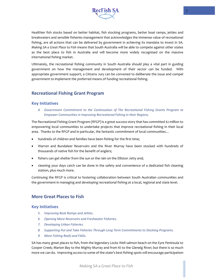

Healthier fish stocks based on better habitat, fish stocking programs, better boat ramps, jetties and breakwaters and sensible fisheries management that acknowledges the immense value of recreational fishing, are all actions that can be delivered by government in achieving its mandate to invest in SA. *Making SA a Great Place to Fish* means that South Australia will be able to compete against other states as the best place to fish in Australia and will become more widely recognised on the massive international fishing market.

Ultimately, the recreational fishing community in South Australia should play a vital part in guiding government on how the management and development of their sector can be funded. With appropriate government support, a Citizens Jury can be convened to deliberate the issue and compel government to implement the preferred means of funding recreational fishing.

## <span id="page-7-0"></span>**Recreational Fishing Grant Program**

## **Key Initiatives**

*4. Government Commitment to the Continuation of The Recreational Fishing Grants Program to Empower Communities in Improving Recreational Fishing in their Regions.*

The Recreational Fishing Grant Program (RFGP) is a great success story that has committed \$2 million to empowering local communities to undertake projects that improve recreational fishing in their local area. Thanks to the RFGP and in particular, the fantastic commitment of local communities…

- hundreds of children and families have been fishing for the first time;
- Warren and Bundaleer Reservoirs and the River Murray have been stocked with hundreds of thousands of native fish for the benefit of anglers;
- fishers can get shelter from the sun or the rain on the Elliston Jetty and;
- cleaning your days catch can be done in the safety and convenience of a dedicated fish cleaning station, plus much more.

Continuing the RFGP is critical to fostering collaboration between South Australian communities and the government in managing and developing recreational fishing at a local, regional and state level.

## <span id="page-7-1"></span>**More Great Places to Fish**

## **Key Initiatives**

- *5. Improving Boat Ramps and Jetties.*
- *6. Opening More Reservoirs and Freshwater Fisheries.*
- *7. Developing Urban Fisheries.*
- *8. Supporting Put and Take Fisheries Through Long Term Commitments to Stocking Programs.*
- *9. More Fishing Reefs and FADs.*

SA has many great places to fish, from the legendary Locks Well salmon beach on the Eyre Peninsula to Cooper Creek; Marion Bay to the Mighty Murray and from KI to the Glenelg River; but there is so much more we can do. Improving access to some of the state's best fishing spots will encourage participation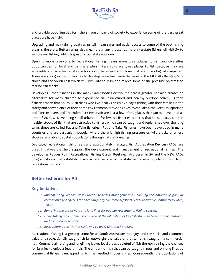

and provide opportunities for fishers from all parts of society to experience some of the truly great places we have in SA.

Upgrading and maintaining boat ramps will mean safer and easier access to some of the best fishing areas in the state. Better ramps also mean that many thousands more interstate fishers will visit SA to sample our fishing, which is great for our state economy.

Opening more reservoirs to recreational fishing means more great places to fish and diversifies opportunities for local and visiting anglers. Reservoirs are great places to fish because they are accessible and safe for families, school kids, the elderly and those that are physiologically impaired. There are also great opportunities to develop more freshwater fisheries in the Mt Lofty Ranges, Mid-North and the South-East which will stimulate tourism and relieve some of the pressure on stressed marine fish stocks.

Developing urban fisheries in the many water bodies distributed across greater Adelaide creates an alternative for many children to experience an unstructured and healthy outdoor activity. Urban fisheries mean that South Australians who live locally can enjoy a day's fishing with their families in the safety and convenience of their home environment. Mawson Lakes, West Lakes, the Port, Onkaparinga and Torrens rivers and Thorndon Park Reservoir are just a few of the places that can be developed as urban fisheries. Developing small urban and freshwater fisheries requires that these places contain healthy stocks of fish that are attractive to fishers which can be caught and replenished over the long term; these are called Put and Take fisheries. Put and Take Fisheries have been developed in many countries and are particularly popular where there is high fishing pressure on wild stocks or where stocks are unable to sustain populations through natural breeding.

Dedicated recreational fishing reefs and appropriately managed Fish Aggregation Devices (FADs) are great initiatives that help support the development and management of recreational fishing. The developing Rogues Point Recreational Fishing Oyster Reef near Ardrossan in SA and the NSW FADs program shows that establishing similar facilities across the state will receive popular support from recreational fishers.

## <span id="page-8-0"></span>**Better Fisheries for All**

#### **Key Initiatives**

- *10. Implementing World's Best Practice fisheries management by capping the amount of popular*  recreational fish species that are caught by commercial fishers (Total Allowable Commercial Catch; *TACC).*
- *11. Removing the use of nets and long lines for popular recreational fishing species.*
- 12. Undertaking a comprehensive review of the allocation of key fish stocks between the recreational *and commercial sectors.*
- *13. Restructuring the Marine Scale and Lakes & Coorong Fisheries.*

Recreational fishing is a great pastime for all South Australians to enjoy, and the social and economic value of a recreationally caught fish far outweighs the value of that same fish caught in a commercial net. Commercial netting and longlining leaves local areas depleted of fish thereby ruining the chances for families to enjoy a feed of fish. The amount of fish that can be caught in nets and on long lines by commercial fishers is uncapped, which has resulted in overfishing. Consequently, the populations of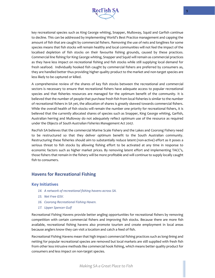

key recreational species such as King George whiting, Snapper, Mulloway, Squid and Garfish continue to decline. This can be addressed by implementing World's Best Practice management and capping the amount of fish that are caught by commercial fishers. Removing the use of nets and longlines for some species means that fish stocks will remain healthy and local communities will not feel the impact of the localised depletion of fish stocks on their favourite fishing grounds, caused by these practices. Commercial line fishing for King George whiting, Snapper and Squid will remain as commercial practices as they have less impact on recreational fishing and fish stocks while still supplying local demand for fresh seafood. Individually hooked fish caught by commercial fishers are preferred by consumers as, they are handled better thus providing higher quality product to the market and non-target species are less likely to be captured or killed.

A comprehensive review of the shares of key fish stocks between the recreational and commercial sectors is necessary to ensure that recreational fishers have adequate access to popular recreational species and that fisheries resources are managed for the optimum benefit of the community. It is believed that the number of people that purchase fresh fish from local fisheries is similar to the number of recreational fishers in SA yet, the allocation of shares is greatly skewed towards commercial fishers. While the overall health of fish stocks will remain the number one priority for recreational fishers, it is believed that the currently allocated shares of species such as Snapper, King George whiting, Garfish, Australian herring and Mulloway do not adequately reflect optimum use of the resource as required under the Objects of *South Australian Fisheries Management Act 2007.*

RecFish SA believes that the commercial Marine Scale Fishery and the Lakes and Coorong Fishery need to be restructured so that they deliver optimum benefit to the South Australian community. Restructuring these fisheries should aim to substantially reduce latent (non-active) effort as it poses a serious threat to fish stocks by allowing fishing effort to be activated at any time in response to economic factors such as higher market prices. By removing latent effort and implementing TACC's, those fishers that remain in the fishery will be more profitable and will continue to supply locally caught fish to consumers.

## <span id="page-9-0"></span>**Havens for Recreational Fishing**

#### **Key Initiatives**

- *14. A network of recreational fishing havens across SA.*
- *15. Net Free GSV.*
- *16. Coorong Recreational Fishing Haven.*
- *17. Upper Spencer Gulf*

Recreational Fishing Havens provide better angling opportunities for recreational fishers by removing competition with certain commercial fishers and improving fish stocks. Because there are more fish available, recreational fishing havens also promote tourism and create employment in local areas because anglers know they can visit a location and catch a feed of fish.

Recreational Fishing Havens mean that high impact commercial fishing practices such as long-lining and netting for popular recreational species are removed but local markets are still supplied with fresh fish from other less intrusive methods like commercial hook fishing, which means better quality product for consumers and less impact on non-target species.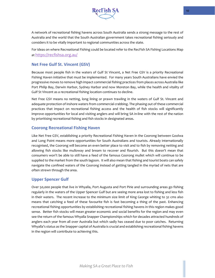

A network of recreational fishing havens across South Australia sends a strong message to the rest of Australia and the world that the South Australian government takes recreational fishing seriously and considers it to be vitally important to regional communities across the state.

For ideas on where Recreational Fishing could be located refer to the RecFish SA Fishing Locations Map a[t https://recfishsa.org.au/](https://recfishsa.org.au/)

## **Net Free Gulf St. Vincent (GSV)**

Because most people fish in the waters of Gulf St Vincent, a Net Free GSV is a priority Recreational Fishing Haven initiative that must be implemented. For many years South Australians have envied the progressive moves to remove high impact commercial fishing practices from places across Australia like Port Philip Bay, Darwin Harbor, Sydney Harbor and now Moreton Bay, while the health and vitality of Gulf St Vincent as a recreational fishing location continues to decline.

Net Free GSV means no netting, long lining or prawn trawling in the waters of Gulf St. Vincent and adequate protection of inshore waters from commercial crabbing. The phasing out of these commercial practices that impact on recreational fishing access and the health of fish stocks will significantly improve opportunities for local and visiting anglers and will bring SA in-line with the rest of the nation by prioritising recreational fishing and fish stocks in designated areas.

## **Coorong Recreational Fishing Haven**

Like Net Free GSV, establishing a priority Recreational Fishing Haven in the Coorong between Goolwa and Long Point means more opportunities for South Australians and tourists. Already internationally recognised, the Coorong will become an even better place to visit and to fish by removing netting and allowing fish stocks like mulloway and bream to recover and flourish. But this doesn't mean that consumers won't be able to still have a feed of the famous Coorong mullet which will continue to be supplied to the market from the south lagoon. It will also mean that fishing and tourist boats can safely navigate the confined waters of the Coorong instead of getting tangled in the myriad of nets that are often strewn through the area.

## **Upper Spencer Gulf**

Over 50,000 people that live in Whyalla, Port Augusta and Port Pirie and surrounding areas go fishing regularly in the waters of the Upper Spencer Gulf but are seeing more area lost to fishing and less fish in their waters. The recent increase to the minimum size limit of King George whiting to 32 cms also means that catching a feed of these favourite fish is fast becoming a thing of the past. Enhancing recreational fishing opportunities by establishing recreational fishing havens in this region makes good sense. Better fish stocks will mean greater economic and social benefits for the region and may even see the return of the famous Whyalla Snapper Championships which for decades attracted hundreds of anglers each year from all over Australia but which sadly has ceased due to poor catches. Returning Whyalla's status as the Snapper capital of Australia is crucial and establishing recreational fishing havens in the region will contribute to achieving this.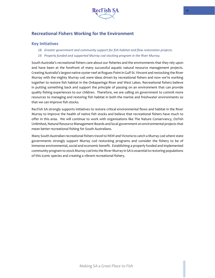

## <span id="page-11-0"></span>**Recreational Fishers Working for the Environment**

## **Key Initiatives**

- *18. Greater government and community support for fish habitat and flow restoration projects.*
- *19. Properly funded and supported Murray cod stocking program in the River Murray.*

South Australia's recreational fishers care about our fisheries and the environments that they rely upon and have been at the forefront of many successful aquatic natural resource management projects. Creating Australia's largest native oyster reef at Rogues Point in Gulf St. Vincent and restocking the River Murray with the mighty Murray cod were ideas driven by recreational fishers and now we're working together to restore fish habitat in the Onkaparinga River and West Lakes. Recreational fishers believe in putting something back and support the principle of passing on an environment that can provide quality fishing experiences to our children. Therefore, we are calling on government to commit more resources to managing and restoring fish habitat in both the marine and freshwater environments so that we can improve fish stocks.

RecFish SA strongly supports initiatives to restore critical environmental flows and habitat in the River Murray to improve the health of native fish stocks and believe that recreational fishers have much to offer in this area. We will continue to work with organisations like The Nature Conservancy, OzFish Unlimited, Natural Resource Management Boards and local government on environmental projects that mean better recreational fishing for South Australians.

Many South Australian recreational fishers travel to NSW and Victoria to catch a Murray cod where state governments strongly support Murray cod restocking programs and consider the fishery to be of immense environmental, social and economic benefit. Establishing a properly funded and implemented community program to stock Murray cod into the River Murray in SA is essential to restoring populations of this iconic species and creating a vibrant recreational fishery.